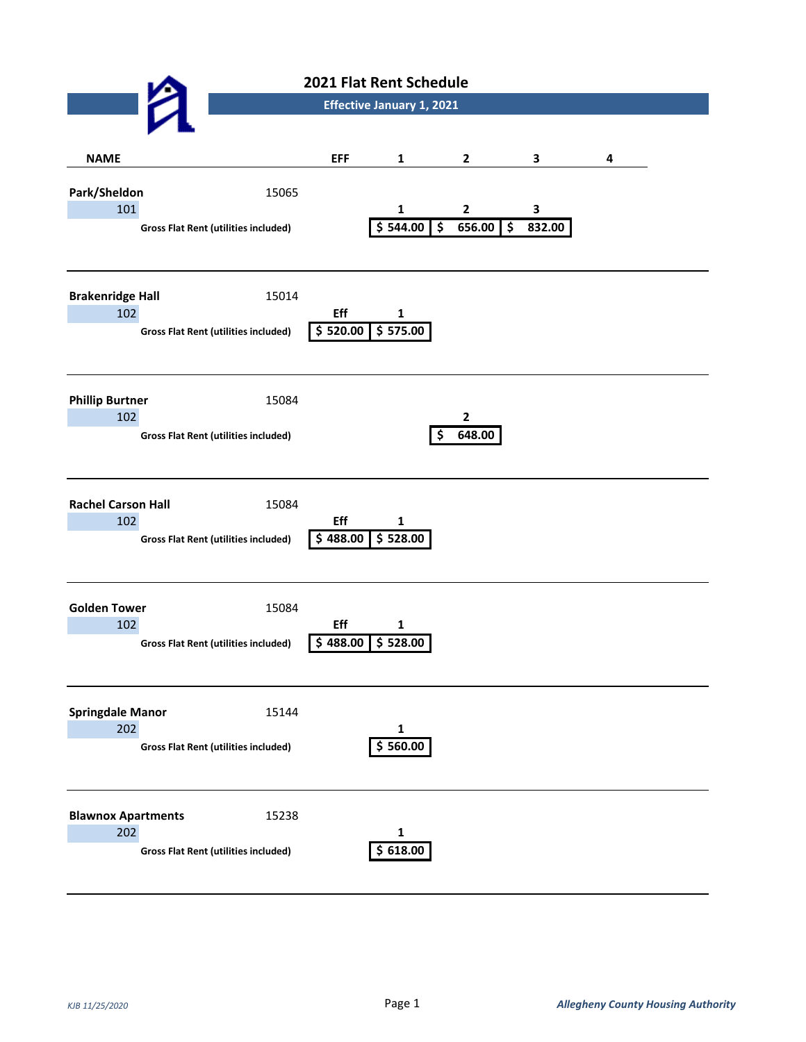|                                  |  | 2021 Flat Rent Schedule                              |                                  |                                                 |                          |                                    |   |  |
|----------------------------------|--|------------------------------------------------------|----------------------------------|-------------------------------------------------|--------------------------|------------------------------------|---|--|
|                                  |  |                                                      | <b>Effective January 1, 2021</b> |                                                 |                          |                                    |   |  |
|                                  |  |                                                      |                                  |                                                 |                          |                                    |   |  |
| <b>NAME</b>                      |  |                                                      | <b>EFF</b>                       | $\mathbf{1}$                                    | $\mathbf{2}$             | $\mathbf{3}$                       | 4 |  |
| Park/Sheldon<br>101              |  | 15065<br><b>Gross Flat Rent (utilities included)</b> |                                  | $\mathbf{1}$<br>\$ 544.00<br>$\overline{\cdot}$ | $\overline{2}$<br>656.00 | 3<br>$\ddot{\bm{\zeta}}$<br>832.00 |   |  |
| <b>Brakenridge Hall</b><br>102   |  | 15014<br><b>Gross Flat Rent (utilities included)</b> | Eff<br>\$520.00                  | $\mathbf{1}$<br>\$575.00                        |                          |                                    |   |  |
| <b>Phillip Burtner</b><br>102    |  | 15084<br><b>Gross Flat Rent (utilities included)</b> |                                  | \$                                              | $\mathbf{2}$<br>648.00   |                                    |   |  |
| <b>Rachel Carson Hall</b><br>102 |  | 15084<br><b>Gross Flat Rent (utilities included)</b> | Eff                              | 1<br>$$488.00 \overline{\$}528.00$              |                          |                                    |   |  |
| <b>Golden Tower</b><br>102       |  | 15084<br><b>Gross Flat Rent (utilities included)</b> | Eff<br>488.00<br>Ś.              | $\mathbf 1$<br>\$528.00                         |                          |                                    |   |  |
| <b>Springdale Manor</b><br>202   |  | 15144<br><b>Gross Flat Rent (utilities included)</b> |                                  | $\mathbf{1}$<br>\$560.00                        |                          |                                    |   |  |
| <b>Blawnox Apartments</b><br>202 |  | 15238<br><b>Gross Flat Rent (utilities included)</b> |                                  | 1<br>\$618.00                                   |                          |                                    |   |  |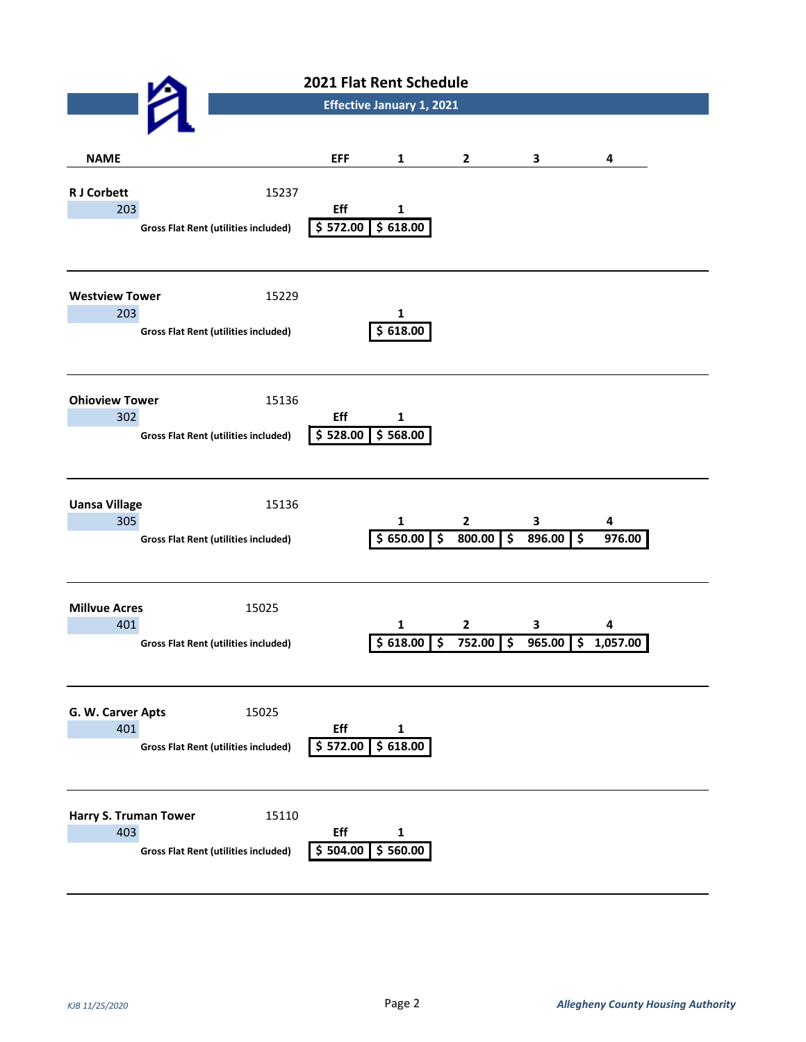| 2021 Flat Rent Schedule             |                                                      |                 |                                                             |                                                   |                   |               |
|-------------------------------------|------------------------------------------------------|-----------------|-------------------------------------------------------------|---------------------------------------------------|-------------------|---------------|
|                                     |                                                      |                 | <b>Effective January 1, 2021</b>                            |                                                   |                   |               |
|                                     |                                                      |                 |                                                             |                                                   |                   |               |
| <b>NAME</b>                         |                                                      | <b>EFF</b>      | $\mathbf{1}$                                                | $\mathbf{2}$                                      | 3                 | 4             |
| <b>RJ Corbett</b><br>203            | 15237                                                | Eff             | $\mathbf 1$                                                 |                                                   |                   |               |
|                                     | <b>Gross Flat Rent (utilities included)</b>          | \$572.00        | 5618.00                                                     |                                                   |                   |               |
| <b>Westview Tower</b><br>203        | 15229                                                |                 | $\mathbf{1}$                                                |                                                   |                   |               |
|                                     | <b>Gross Flat Rent (utilities included)</b>          | \$618.00        |                                                             |                                                   |                   |               |
| <b>Ohioview Tower</b><br>302        | 15136                                                | Eff             | $\mathbf{1}$                                                |                                                   |                   |               |
|                                     | <b>Gross Flat Rent (utilities included)</b>          | \$528.00        | \$568.00                                                    |                                                   |                   |               |
| <b>Uansa Village</b><br>305         | 15136<br><b>Gross Flat Rent (utilities included)</b> |                 | $\mathbf{1}$<br>\$650.00<br>$\overline{\boldsymbol{\zeta}}$ | $\mathbf{2}$<br>$\overline{\mathbf{5}}$<br>800.00 | 3<br>$896.00$ \$  | 4<br>976.00   |
| <b>Millvue Acres</b><br>401         | 15025<br><b>Gross Flat Rent (utilities included)</b> |                 | 1<br>\$618.00<br>\$                                         | $\mathbf{2}$<br>$\ddot{\bm{\zeta}}$<br>752.00     | 3<br>965.00<br>\$ | 4<br>1,057.00 |
| G. W. Carver Apts<br>401            | 15025<br><b>Gross Flat Rent (utilities included)</b> | Eff<br>\$572.00 | 1<br>\$618.00                                               |                                                   |                   |               |
| <b>Harry S. Truman Tower</b><br>403 | 15110<br><b>Gross Flat Rent (utilities included)</b> | Eff<br>\$504.00 | 1<br>\$560.00                                               |                                                   |                   |               |